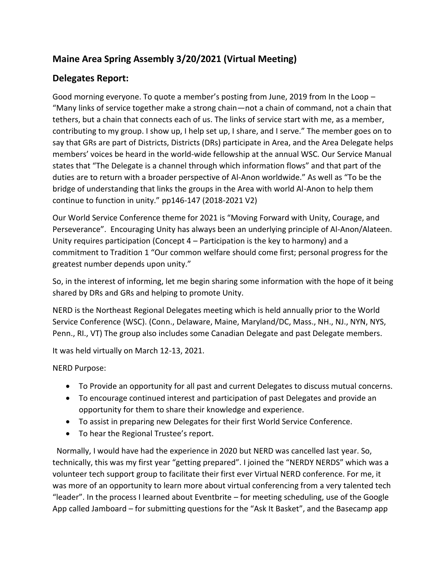## **Maine Area Spring Assembly 3/20/2021 (Virtual Meeting)**

## **Delegates Report:**

Good morning everyone. To quote a member's posting from June, 2019 from In the Loop – "Many links of service together make a strong chain—not a chain of command, not a chain that tethers, but a chain that connects each of us. The links of service start with me, as a member, contributing to my group. I show up, I help set up, I share, and I serve." The member goes on to say that GRs are part of Districts, Districts (DRs) participate in Area, and the Area Delegate helps members' voices be heard in the world-wide fellowship at the annual WSC. Our Service Manual states that "The Delegate is a channel through which information flows" and that part of the duties are to return with a broader perspective of Al-Anon worldwide." As well as "To be the bridge of understanding that links the groups in the Area with world Al-Anon to help them continue to function in unity." pp146-147 (2018-2021 V2)

Our World Service Conference theme for 2021 is "Moving Forward with Unity, Courage, and Perseverance". Encouraging Unity has always been an underlying principle of Al-Anon/Alateen. Unity requires participation (Concept 4 – Participation is the key to harmony) and a commitment to Tradition 1 "Our common welfare should come first; personal progress for the greatest number depends upon unity."

So, in the interest of informing, let me begin sharing some information with the hope of it being shared by DRs and GRs and helping to promote Unity.

NERD is the Northeast Regional Delegates meeting which is held annually prior to the World Service Conference (WSC). (Conn., Delaware, Maine, Maryland/DC, Mass., NH., NJ., NYN, NYS, Penn., RI., VT) The group also includes some Canadian Delegate and past Delegate members.

It was held virtually on March 12-13, 2021.

NERD Purpose:

- To Provide an opportunity for all past and current Delegates to discuss mutual concerns.
- To encourage continued interest and participation of past Delegates and provide an opportunity for them to share their knowledge and experience.
- To assist in preparing new Delegates for their first World Service Conference.
- To hear the Regional Trustee's report.

 Normally, I would have had the experience in 2020 but NERD was cancelled last year. So, technically, this was my first year "getting prepared". I joined the "NERDY NERDS" which was a volunteer tech support group to facilitate their first ever Virtual NERD conference. For me, it was more of an opportunity to learn more about virtual conferencing from a very talented tech "leader". In the process I learned about Eventbrite – for meeting scheduling, use of the Google App called Jamboard – for submitting questions for the "Ask It Basket", and the Basecamp app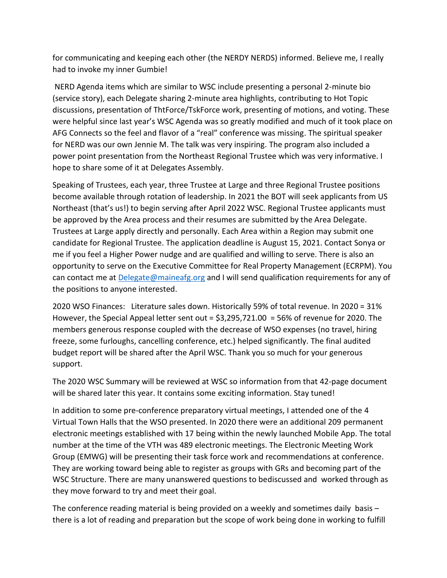for communicating and keeping each other (the NERDY NERDS) informed. Believe me, I really had to invoke my inner Gumbie!

NERD Agenda items which are similar to WSC include presenting a personal 2-minute bio (service story), each Delegate sharing 2-minute area highlights, contributing to Hot Topic discussions, presentation of ThtForce/TskForce work, presenting of motions, and voting. These were helpful since last year's WSC Agenda was so greatly modified and much of it took place on AFG Connects so the feel and flavor of a "real" conference was missing. The spiritual speaker for NERD was our own Jennie M. The talk was very inspiring. The program also included a power point presentation from the Northeast Regional Trustee which was very informative. I hope to share some of it at Delegates Assembly.

Speaking of Trustees, each year, three Trustee at Large and three Regional Trustee positions become available through rotation of leadership. In 2021 the BOT will seek applicants from US Northeast (that's us!) to begin serving after April 2022 WSC. Regional Trustee applicants must be approved by the Area process and their resumes are submitted by the Area Delegate. Trustees at Large apply directly and personally. Each Area within a Region may submit one candidate for Regional Trustee. The application deadline is August 15, 2021. Contact Sonya or me if you feel a Higher Power nudge and are qualified and willing to serve. There is also an opportunity to serve on the Executive Committee for Real Property Management (ECRPM). You can contact me at [Delegate@maineafg.org](mailto:Delegate@maineafg.org) and I will send qualification requirements for any of the positions to anyone interested.

2020 WSO Finances: Literature sales down. Historically 59% of total revenue. In 2020 = 31% However, the Special Appeal letter sent out = \$3,295,721.00 = 56% of revenue for 2020. The members generous response coupled with the decrease of WSO expenses (no travel, hiring freeze, some furloughs, cancelling conference, etc.) helped significantly. The final audited budget report will be shared after the April WSC. Thank you so much for your generous support.

The 2020 WSC Summary will be reviewed at WSC so information from that 42-page document will be shared later this year. It contains some exciting information. Stay tuned!

In addition to some pre-conference preparatory virtual meetings, I attended one of the 4 Virtual Town Halls that the WSO presented. In 2020 there were an additional 209 permanent electronic meetings established with 17 being within the newly launched Mobile App. The total number at the time of the VTH was 489 electronic meetings. The Electronic Meeting Work Group (EMWG) will be presenting their task force work and recommendations at conference. They are working toward being able to register as groups with GRs and becoming part of the WSC Structure. There are many unanswered questions to bediscussed and worked through as they move forward to try and meet their goal.

The conference reading material is being provided on a weekly and sometimes daily basis – there is a lot of reading and preparation but the scope of work being done in working to fulfill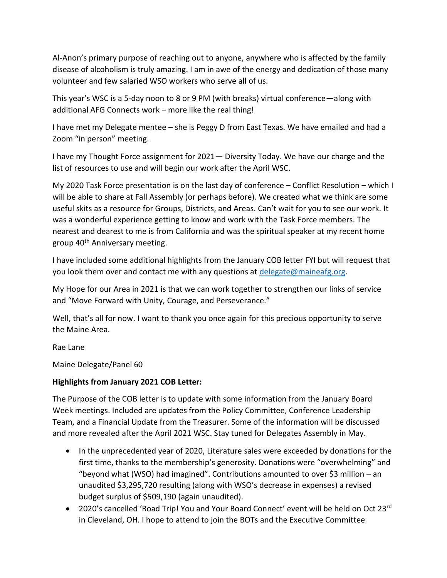Al-Anon's primary purpose of reaching out to anyone, anywhere who is affected by the family disease of alcoholism is truly amazing. I am in awe of the energy and dedication of those many volunteer and few salaried WSO workers who serve all of us.

This year's WSC is a 5-day noon to 8 or 9 PM (with breaks) virtual conference—along with additional AFG Connects work – more like the real thing!

I have met my Delegate mentee – she is Peggy D from East Texas. We have emailed and had a Zoom "in person" meeting.

I have my Thought Force assignment for 2021— Diversity Today. We have our charge and the list of resources to use and will begin our work after the April WSC.

My 2020 Task Force presentation is on the last day of conference – Conflict Resolution – which I will be able to share at Fall Assembly (or perhaps before). We created what we think are some useful skits as a resource for Groups, Districts, and Areas. Can't wait for you to see our work. It was a wonderful experience getting to know and work with the Task Force members. The nearest and dearest to me is from California and was the spiritual speaker at my recent home group 40<sup>th</sup> Anniversary meeting.

I have included some additional highlights from the January COB letter FYI but will request that you look them over and contact me with any questions at  $dee$  delegate @maineafg.org.

My Hope for our Area in 2021 is that we can work together to strengthen our links of service and "Move Forward with Unity, Courage, and Perseverance."

Well, that's all for now. I want to thank you once again for this precious opportunity to serve the Maine Area.

Rae Lane

Maine Delegate/Panel 60

## **Highlights from January 2021 COB Letter:**

The Purpose of the COB letter is to update with some information from the January Board Week meetings. Included are updates from the Policy Committee, Conference Leadership Team, and a Financial Update from the Treasurer. Some of the information will be discussed and more revealed after the April 2021 WSC. Stay tuned for Delegates Assembly in May.

- In the unprecedented year of 2020, Literature sales were exceeded by donations for the first time, thanks to the membership's generosity. Donations were "overwhelming" and "beyond what (WSO) had imagined". Contributions amounted to over \$3 million – an unaudited \$3,295,720 resulting (along with WSO's decrease in expenses) a revised budget surplus of \$509,190 (again unaudited).
- 2020's cancelled 'Road Trip! You and Your Board Connect' event will be held on Oct 23<sup>rd</sup> in Cleveland, OH. I hope to attend to join the BOTs and the Executive Committee